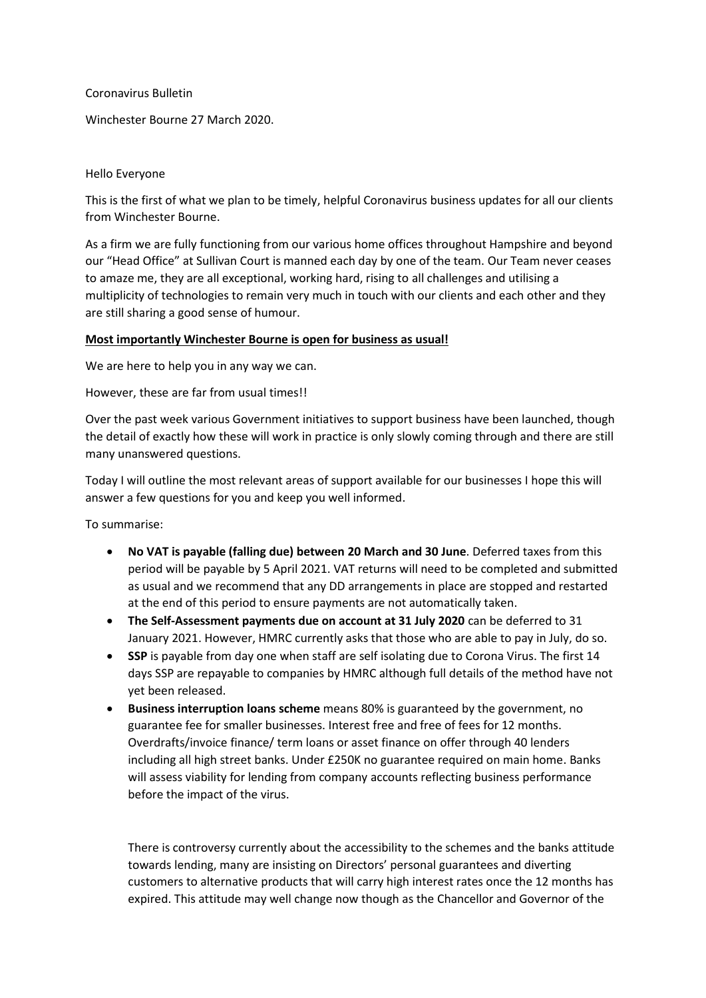#### Coronavirus Bulletin

Winchester Bourne 27 March 2020.

#### Hello Everyone

This is the first of what we plan to be timely, helpful Coronavirus business updates for all our clients from Winchester Bourne.

As a firm we are fully functioning from our various home offices throughout Hampshire and beyond our "Head Office" at Sullivan Court is manned each day by one of the team. Our Team never ceases to amaze me, they are all exceptional, working hard, rising to all challenges and utilising a multiplicity of technologies to remain very much in touch with our clients and each other and they are still sharing a good sense of humour.

## **Most importantly Winchester Bourne is open for business as usual!**

We are here to help you in any way we can.

However, these are far from usual times!!

Over the past week various Government initiatives to support business have been launched, though the detail of exactly how these will work in practice is only slowly coming through and there are still many unanswered questions.

Today I will outline the most relevant areas of support available for our businesses I hope this will answer a few questions for you and keep you well informed.

To summarise:

- **No VAT is payable (falling due) between 20 March and 30 June**. Deferred taxes from this period will be payable by 5 April 2021. VAT returns will need to be completed and submitted as usual and we recommend that any DD arrangements in place are stopped and restarted at the end of this period to ensure payments are not automatically taken.
- **The Self-Assessment payments due on account at 31 July 2020** can be deferred to 31 January 2021. However, HMRC currently asks that those who are able to pay in July, do so.
- **SSP** is payable from day one when staff are self isolating due to Corona Virus. The first 14 days SSP are repayable to companies by HMRC although full details of the method have not yet been released.
- **Business interruption loans scheme** means 80% is guaranteed by the government, no guarantee fee for smaller businesses. Interest free and free of fees for 12 months. Overdrafts/invoice finance/ term loans or asset finance on offer through 40 lenders including all high street banks. Under £250K no guarantee required on main home. Banks will assess viability for lending from company accounts reflecting business performance before the impact of the virus.

There is controversy currently about the accessibility to the schemes and the banks attitude towards lending, many are insisting on Directors' personal guarantees and diverting customers to alternative products that will carry high interest rates once the 12 months has expired. This attitude may well change now though as the Chancellor and Governor of the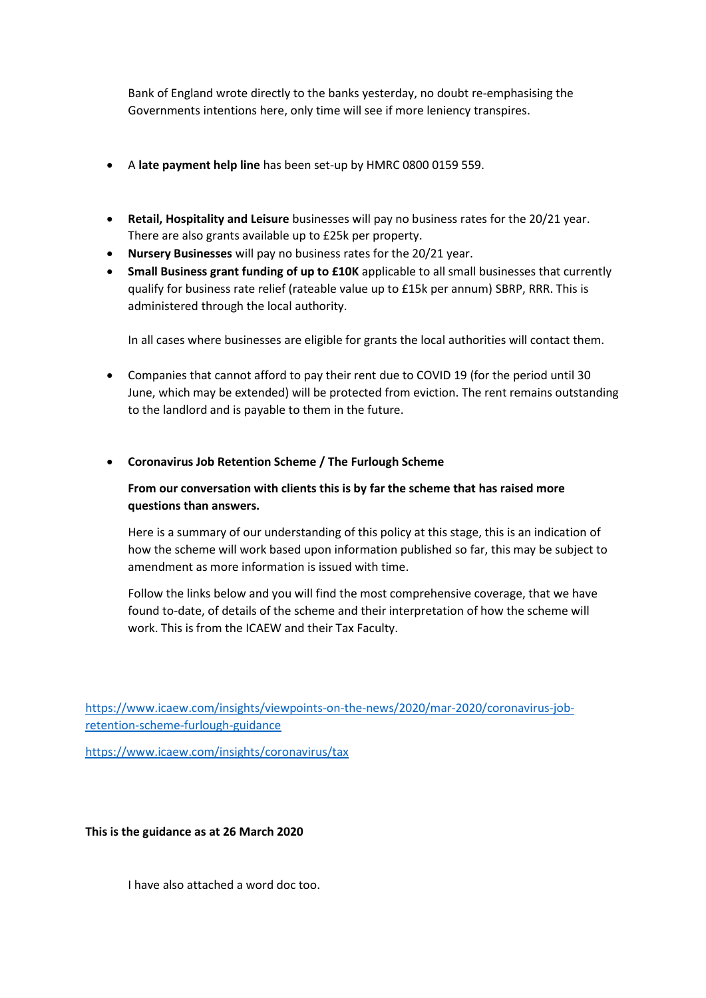Bank of England wrote directly to the banks yesterday, no doubt re-emphasising the Governments intentions here, only time will see if more leniency transpires.

- A **late payment help line** has been set-up by HMRC 0800 0159 559.
- **Retail, Hospitality and Leisure** businesses will pay no business rates for the 20/21 year. There are also grants available up to £25k per property.
- **Nursery Businesses** will pay no business rates for the 20/21 year.
- **Small Business grant funding of up to £10K** applicable to all small businesses that currently qualify for business rate relief (rateable value up to £15k per annum) SBRP, RRR. This is administered through the local authority.

In all cases where businesses are eligible for grants the local authorities will contact them.

• Companies that cannot afford to pay their rent due to COVID 19 (for the period until 30 June, which may be extended) will be protected from eviction. The rent remains outstanding to the landlord and is payable to them in the future.

## • **Coronavirus Job Retention Scheme / The Furlough Scheme**

# **From our conversation with clients this is by far the scheme that has raised more questions than answers.**

Here is a summary of our understanding of this policy at this stage, this is an indication of how the scheme will work based upon information published so far, this may be subject to amendment as more information is issued with time.

Follow the links below and you will find the most comprehensive coverage, that we have found to-date, of details of the scheme and their interpretation of how the scheme will work. This is from the ICAEW and their Tax Faculty.

[https://www.icaew.com/insights/viewpoints-on-the-news/2020/mar-2020/coronavirus-job](https://www.icaew.com/insights/viewpoints-on-the-news/2020/mar-2020/coronavirus-job-retention-scheme-furlough-guidance)[retention-scheme-furlough-guidance](https://www.icaew.com/insights/viewpoints-on-the-news/2020/mar-2020/coronavirus-job-retention-scheme-furlough-guidance)

<https://www.icaew.com/insights/coronavirus/tax>

**This is the guidance as at 26 March 2020**

I have also attached a word doc too.